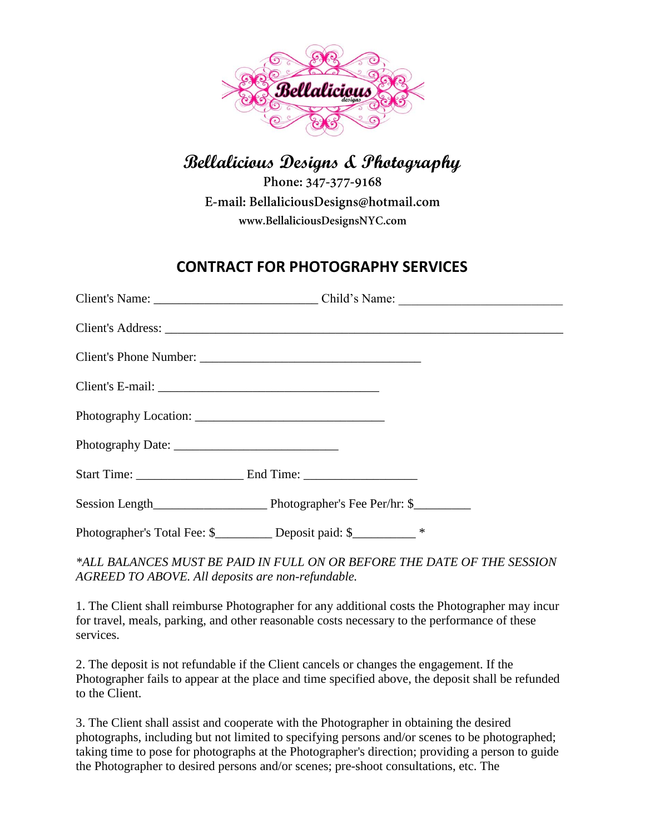

## **Bellalicious Designs & Photography**

Phone: 347-377-9168 E-mail: BellaliciousDesigns@hotmail.com www.BellaliciousDesignsNYC.com

## **CONTRACT FOR PHOTOGRAPHY SERVICES**

| Client's E-mail: |                                                                         |
|------------------|-------------------------------------------------------------------------|
|                  |                                                                         |
|                  |                                                                         |
|                  |                                                                         |
|                  |                                                                         |
|                  | Photographer's Total Fee: \$____________ Deposit paid: \$____________ * |

*\*ALL BALANCES MUST BE PAID IN FULL ON OR BEFORE THE DATE OF THE SESSION AGREED TO ABOVE. All deposits are non-refundable.*

1. The Client shall reimburse Photographer for any additional costs the Photographer may incur for travel, meals, parking, and other reasonable costs necessary to the performance of these services.

2. The deposit is not refundable if the Client cancels or changes the engagement. If the Photographer fails to appear at the place and time specified above, the deposit shall be refunded to the Client.

3. The Client shall assist and cooperate with the Photographer in obtaining the desired photographs, including but not limited to specifying persons and/or scenes to be photographed; taking time to pose for photographs at the Photographer's direction; providing a person to guide the Photographer to desired persons and/or scenes; pre-shoot consultations, etc. The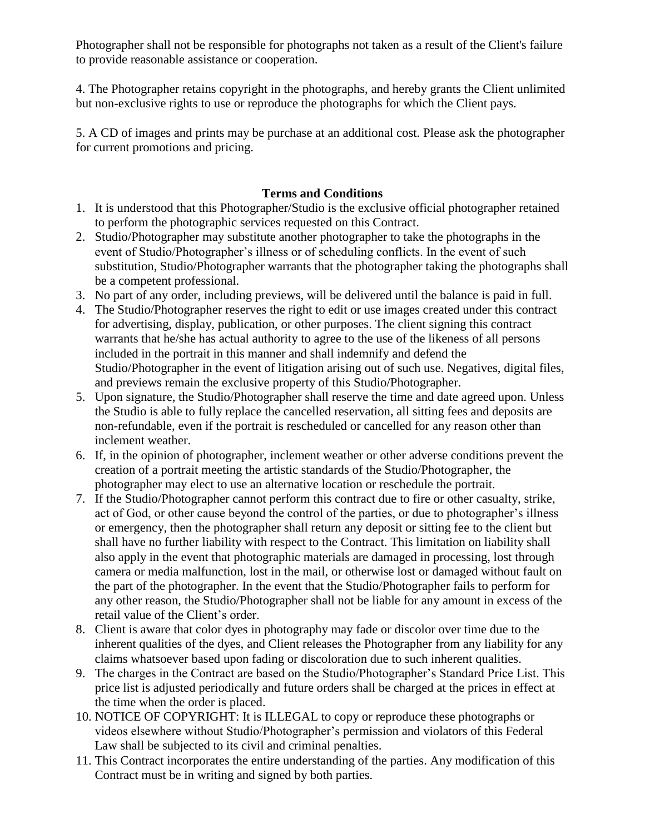Photographer shall not be responsible for photographs not taken as a result of the Client's failure to provide reasonable assistance or cooperation.

4. The Photographer retains copyright in the photographs, and hereby grants the Client unlimited but non-exclusive rights to use or reproduce the photographs for which the Client pays.

5. A CD of images and prints may be purchase at an additional cost. Please ask the photographer for current promotions and pricing.

## **Terms and Conditions**

- 1. It is understood that this Photographer/Studio is the exclusive official photographer retained to perform the photographic services requested on this Contract.
- 2. Studio/Photographer may substitute another photographer to take the photographs in the event of Studio/Photographer's illness or of scheduling conflicts. In the event of such substitution, Studio/Photographer warrants that the photographer taking the photographs shall be a competent professional.
- 3. No part of any order, including previews, will be delivered until the balance is paid in full.
- 4. The Studio/Photographer reserves the right to edit or use images created under this contract for advertising, display, publication, or other purposes. The client signing this contract warrants that he/she has actual authority to agree to the use of the likeness of all persons included in the portrait in this manner and shall indemnify and defend the Studio/Photographer in the event of litigation arising out of such use. Negatives, digital files, and previews remain the exclusive property of this Studio/Photographer.
- 5. Upon signature, the Studio/Photographer shall reserve the time and date agreed upon. Unless the Studio is able to fully replace the cancelled reservation, all sitting fees and deposits are non-refundable, even if the portrait is rescheduled or cancelled for any reason other than inclement weather.
- 6. If, in the opinion of photographer, inclement weather or other adverse conditions prevent the creation of a portrait meeting the artistic standards of the Studio/Photographer, the photographer may elect to use an alternative location or reschedule the portrait.
- 7. If the Studio/Photographer cannot perform this contract due to fire or other casualty, strike, act of God, or other cause beyond the control of the parties, or due to photographer's illness or emergency, then the photographer shall return any deposit or sitting fee to the client but shall have no further liability with respect to the Contract. This limitation on liability shall also apply in the event that photographic materials are damaged in processing, lost through camera or media malfunction, lost in the mail, or otherwise lost or damaged without fault on the part of the photographer. In the event that the Studio/Photographer fails to perform for any other reason, the Studio/Photographer shall not be liable for any amount in excess of the retail value of the Client's order.
- 8. Client is aware that color dyes in photography may fade or discolor over time due to the inherent qualities of the dyes, and Client releases the Photographer from any liability for any claims whatsoever based upon fading or discoloration due to such inherent qualities.
- 9. The charges in the Contract are based on the Studio/Photographer's Standard Price List. This price list is adjusted periodically and future orders shall be charged at the prices in effect at the time when the order is placed.
- 10. NOTICE OF COPYRIGHT: It is ILLEGAL to copy or reproduce these photographs or videos elsewhere without Studio/Photographer's permission and violators of this Federal Law shall be subjected to its civil and criminal penalties.
- 11. This Contract incorporates the entire understanding of the parties. Any modification of this Contract must be in writing and signed by both parties.